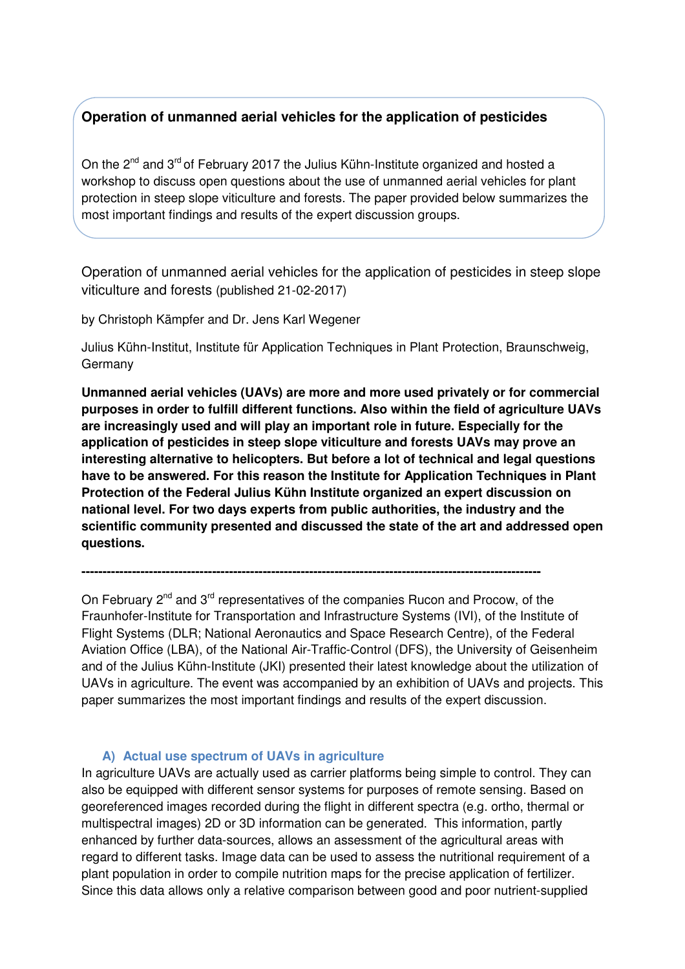# **Operation of unmanned aerial vehicles for the application of pesticides**

On the 2<sup>nd</sup> and 3<sup>rd</sup> of February 2017 the Julius Kühn-Institute organized and hosted a workshop to discuss open questions about the use of unmanned aerial vehicles for plant protection in steep slope viticulture and forests. The paper provided below summarizes the most important findings and results of the expert discussion groups.

Operation of unmanned aerial vehicles for the application of pesticides in steep slope viticulture and forests (published 21-02-2017)

by Christoph Kämpfer and Dr. Jens Karl Wegener

Julius Kühn-Institut, Institute für Application Techniques in Plant Protection, Braunschweig, Germany

**Unmanned aerial vehicles (UAVs) are more and more used privately or for commercial purposes in order to fulfill different functions. Also within the field of agriculture UAVs are increasingly used and will play an important role in future. Especially for the application of pesticides in steep slope viticulture and forests UAVs may prove an interesting alternative to helicopters. But before a lot of technical and legal questions have to be answered. For this reason the Institute for Application Techniques in Plant Protection of the Federal Julius Kühn Institute organized an expert discussion on national level. For two days experts from public authorities, the industry and the scientific community presented and discussed the state of the art and addressed open questions.** 

On February 2<sup>nd</sup> and 3<sup>rd</sup> representatives of the companies Rucon and Procow, of the Fraunhofer-Institute for Transportation and Infrastructure Systems (IVI), of the Institute of Flight Systems (DLR; National Aeronautics and Space Research Centre), of the Federal Aviation Office (LBA), of the National Air-Traffic-Control (DFS), the University of Geisenheim and of the Julius Kühn-Institute (JKI) presented their latest knowledge about the utilization of UAVs in agriculture. The event was accompanied by an exhibition of UAVs and projects. This paper summarizes the most important findings and results of the expert discussion.

**-------------------------------------------------------------------------------------------------------------** 

## **A) Actual use spectrum of UAVs in agriculture**

In agriculture UAVs are actually used as carrier platforms being simple to control. They can also be equipped with different sensor systems for purposes of remote sensing. Based on georeferenced images recorded during the flight in different spectra (e.g. ortho, thermal or multispectral images) 2D or 3D information can be generated. This information, partly enhanced by further data-sources, allows an assessment of the agricultural areas with regard to different tasks. Image data can be used to assess the nutritional requirement of a plant population in order to compile nutrition maps for the precise application of fertilizer. Since this data allows only a relative comparison between good and poor nutrient-supplied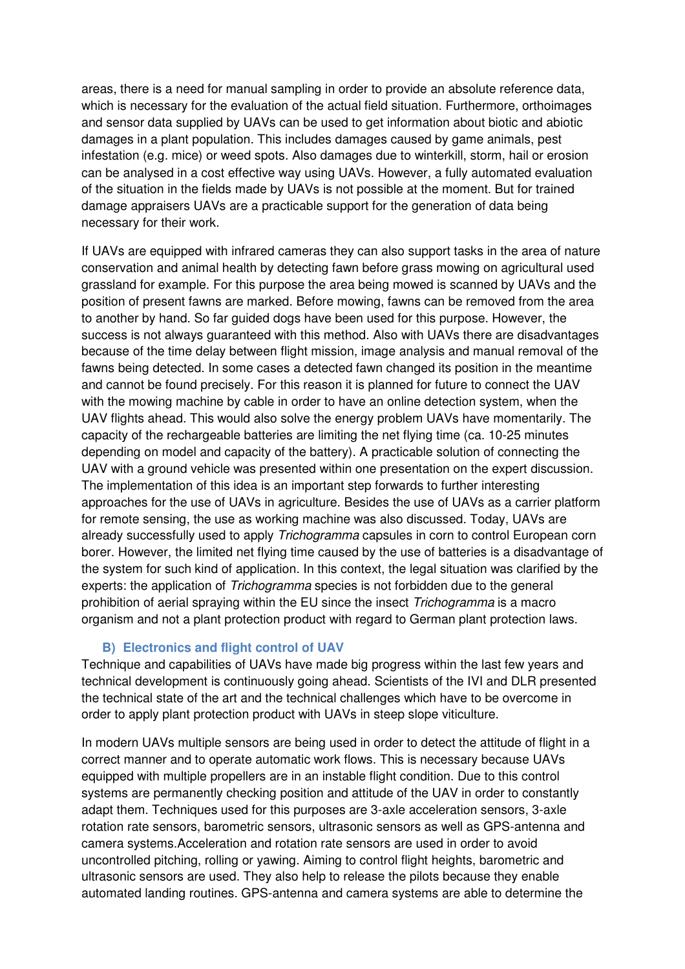areas, there is a need for manual sampling in order to provide an absolute reference data, which is necessary for the evaluation of the actual field situation. Furthermore, orthoimages and sensor data supplied by UAVs can be used to get information about biotic and abiotic damages in a plant population. This includes damages caused by game animals, pest infestation (e.g. mice) or weed spots. Also damages due to winterkill, storm, hail or erosion can be analysed in a cost effective way using UAVs. However, a fully automated evaluation of the situation in the fields made by UAVs is not possible at the moment. But for trained damage appraisers UAVs are a practicable support for the generation of data being necessary for their work.

If UAVs are equipped with infrared cameras they can also support tasks in the area of nature conservation and animal health by detecting fawn before grass mowing on agricultural used grassland for example. For this purpose the area being mowed is scanned by UAVs and the position of present fawns are marked. Before mowing, fawns can be removed from the area to another by hand. So far guided dogs have been used for this purpose. However, the success is not always guaranteed with this method. Also with UAVs there are disadvantages because of the time delay between flight mission, image analysis and manual removal of the fawns being detected. In some cases a detected fawn changed its position in the meantime and cannot be found precisely. For this reason it is planned for future to connect the UAV with the mowing machine by cable in order to have an online detection system, when the UAV flights ahead. This would also solve the energy problem UAVs have momentarily. The capacity of the rechargeable batteries are limiting the net flying time (ca. 10-25 minutes depending on model and capacity of the battery). A practicable solution of connecting the UAV with a ground vehicle was presented within one presentation on the expert discussion. The implementation of this idea is an important step forwards to further interesting approaches for the use of UAVs in agriculture. Besides the use of UAVs as a carrier platform for remote sensing, the use as working machine was also discussed. Today, UAVs are already successfully used to apply Trichogramma capsules in corn to control European corn borer. However, the limited net flying time caused by the use of batteries is a disadvantage of the system for such kind of application. In this context, the legal situation was clarified by the experts: the application of *Trichogramma* species is not forbidden due to the general prohibition of aerial spraying within the EU since the insect Trichogramma is a macro organism and not a plant protection product with regard to German plant protection laws.

## **B) Electronics and flight control of UAV**

Technique and capabilities of UAVs have made big progress within the last few years and technical development is continuously going ahead. Scientists of the IVI and DLR presented the technical state of the art and the technical challenges which have to be overcome in order to apply plant protection product with UAVs in steep slope viticulture.

In modern UAVs multiple sensors are being used in order to detect the attitude of flight in a correct manner and to operate automatic work flows. This is necessary because UAVs equipped with multiple propellers are in an instable flight condition. Due to this control systems are permanently checking position and attitude of the UAV in order to constantly adapt them. Techniques used for this purposes are 3-axle acceleration sensors, 3-axle rotation rate sensors, barometric sensors, ultrasonic sensors as well as GPS-antenna and camera systems.Acceleration and rotation rate sensors are used in order to avoid uncontrolled pitching, rolling or yawing. Aiming to control flight heights, barometric and ultrasonic sensors are used. They also help to release the pilots because they enable automated landing routines. GPS-antenna and camera systems are able to determine the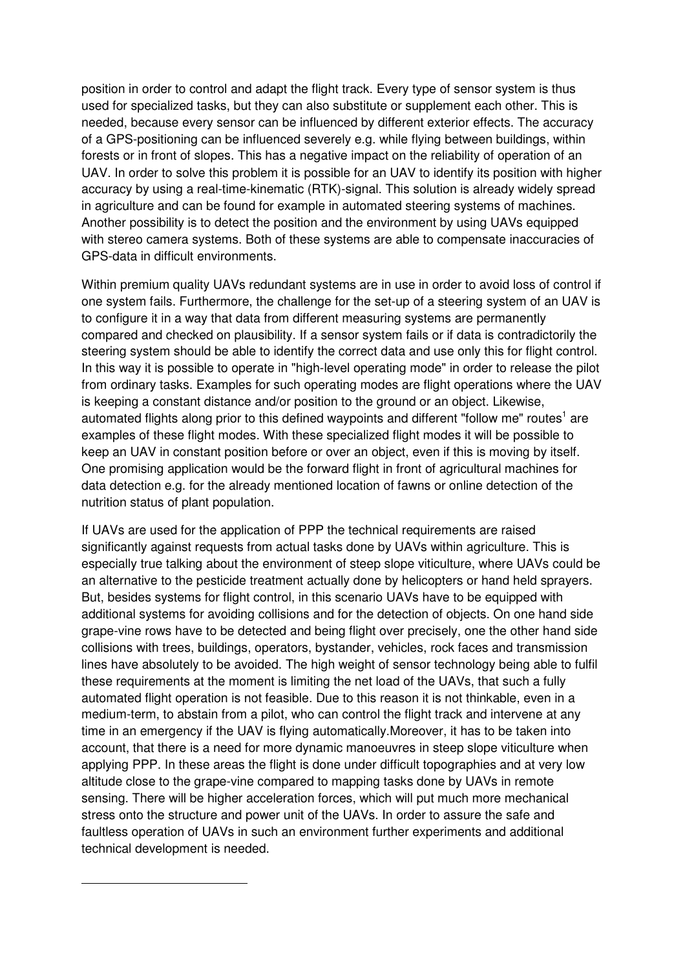position in order to control and adapt the flight track. Every type of sensor system is thus used for specialized tasks, but they can also substitute or supplement each other. This is needed, because every sensor can be influenced by different exterior effects. The accuracy of a GPS-positioning can be influenced severely e.g. while flying between buildings, within forests or in front of slopes. This has a negative impact on the reliability of operation of an UAV. In order to solve this problem it is possible for an UAV to identify its position with higher accuracy by using a real-time-kinematic (RTK)-signal. This solution is already widely spread in agriculture and can be found for example in automated steering systems of machines. Another possibility is to detect the position and the environment by using UAVs equipped with stereo camera systems. Both of these systems are able to compensate inaccuracies of GPS-data in difficult environments.

Within premium quality UAVs redundant systems are in use in order to avoid loss of control if one system fails. Furthermore, the challenge for the set-up of a steering system of an UAV is to configure it in a way that data from different measuring systems are permanently compared and checked on plausibility. If a sensor system fails or if data is contradictorily the steering system should be able to identify the correct data and use only this for flight control. In this way it is possible to operate in "high-level operating mode" in order to release the pilot from ordinary tasks. Examples for such operating modes are flight operations where the UAV is keeping a constant distance and/or position to the ground or an object. Likewise, automated flights along prior to this defined waypoints and different "follow me" routes<sup>1</sup> are examples of these flight modes. With these specialized flight modes it will be possible to keep an UAV in constant position before or over an object, even if this is moving by itself. One promising application would be the forward flight in front of agricultural machines for data detection e.g. for the already mentioned location of fawns or online detection of the nutrition status of plant population.

If UAVs are used for the application of PPP the technical requirements are raised significantly against requests from actual tasks done by UAVs within agriculture. This is especially true talking about the environment of steep slope viticulture, where UAVs could be an alternative to the pesticide treatment actually done by helicopters or hand held sprayers. But, besides systems for flight control, in this scenario UAVs have to be equipped with additional systems for avoiding collisions and for the detection of objects. On one hand side grape-vine rows have to be detected and being flight over precisely, one the other hand side collisions with trees, buildings, operators, bystander, vehicles, rock faces and transmission lines have absolutely to be avoided. The high weight of sensor technology being able to fulfil these requirements at the moment is limiting the net load of the UAVs, that such a fully automated flight operation is not feasible. Due to this reason it is not thinkable, even in a medium-term, to abstain from a pilot, who can control the flight track and intervene at any time in an emergency if the UAV is flying automatically.Moreover, it has to be taken into account, that there is a need for more dynamic manoeuvres in steep slope viticulture when applying PPP. In these areas the flight is done under difficult topographies and at very low altitude close to the grape-vine compared to mapping tasks done by UAVs in remote sensing. There will be higher acceleration forces, which will put much more mechanical stress onto the structure and power unit of the UAVs. In order to assure the safe and faultless operation of UAVs in such an environment further experiments and additional technical development is needed.

 $\overline{a}$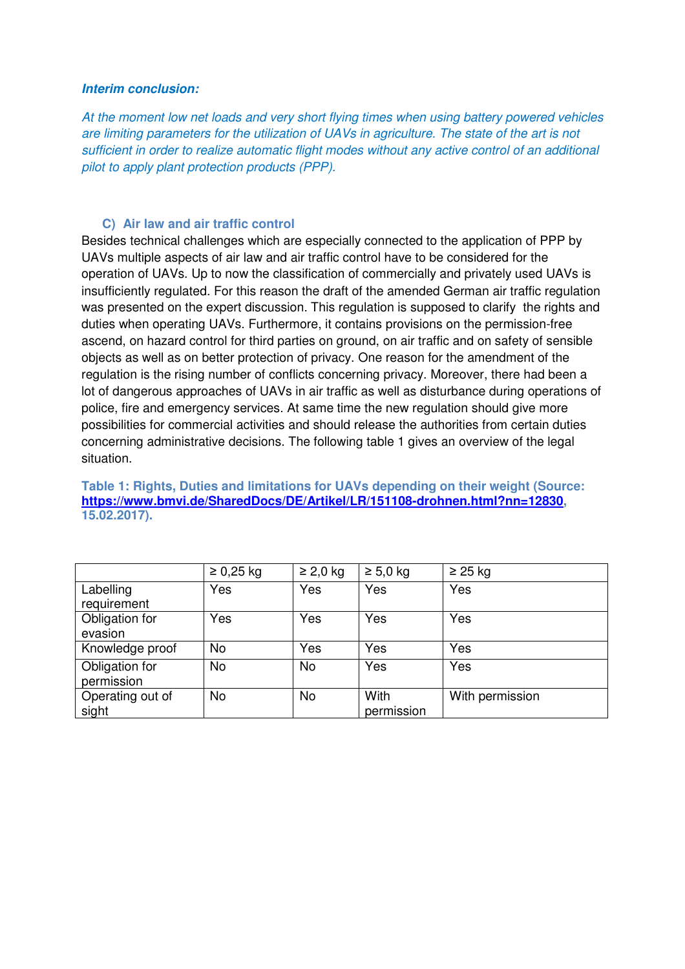#### **Interim conclusion:**

At the moment low net loads and very short flying times when using battery powered vehicles are limiting parameters for the utilization of UAVs in agriculture. The state of the art is not sufficient in order to realize automatic flight modes without any active control of an additional pilot to apply plant protection products (PPP).

#### **C) Air law and air traffic control**

Besides technical challenges which are especially connected to the application of PPP by UAVs multiple aspects of air law and air traffic control have to be considered for the operation of UAVs. Up to now the classification of commercially and privately used UAVs is insufficiently regulated. For this reason the draft of the amended German air traffic regulation was presented on the expert discussion. This regulation is supposed to clarify the rights and duties when operating UAVs. Furthermore, it contains provisions on the permission-free ascend, on hazard control for third parties on ground, on air traffic and on safety of sensible objects as well as on better protection of privacy. One reason for the amendment of the regulation is the rising number of conflicts concerning privacy. Moreover, there had been a lot of dangerous approaches of UAVs in air traffic as well as disturbance during operations of police, fire and emergency services. At same time the new regulation should give more possibilities for commercial activities and should release the authorities from certain duties concerning administrative decisions. The following table 1 gives an overview of the legal situation.

|                  | $\geq 0,25$ kg | $\geq$ 2,0 kg | $\geq 5.0$ kg | $\geq$ 25 kg    |
|------------------|----------------|---------------|---------------|-----------------|
| Labelling        | Yes            | Yes           | Yes           | Yes             |
| requirement      |                |               |               |                 |
| Obligation for   | Yes            | Yes           | Yes           | Yes             |
| evasion          |                |               |               |                 |
| Knowledge proof  | No             | Yes           | Yes           | Yes             |
| Obligation for   | No             | No            | Yes           | Yes             |
| permission       |                |               |               |                 |
| Operating out of | No             | No            | With          | With permission |
| sight            |                |               | permission    |                 |

**Table 1: Rights, Duties and limitations for UAVs depending on their weight (Source: https://www.bmvi.de/SharedDocs/DE/Artikel/LR/151108-drohnen.html?nn=12830, 15.02.2017).**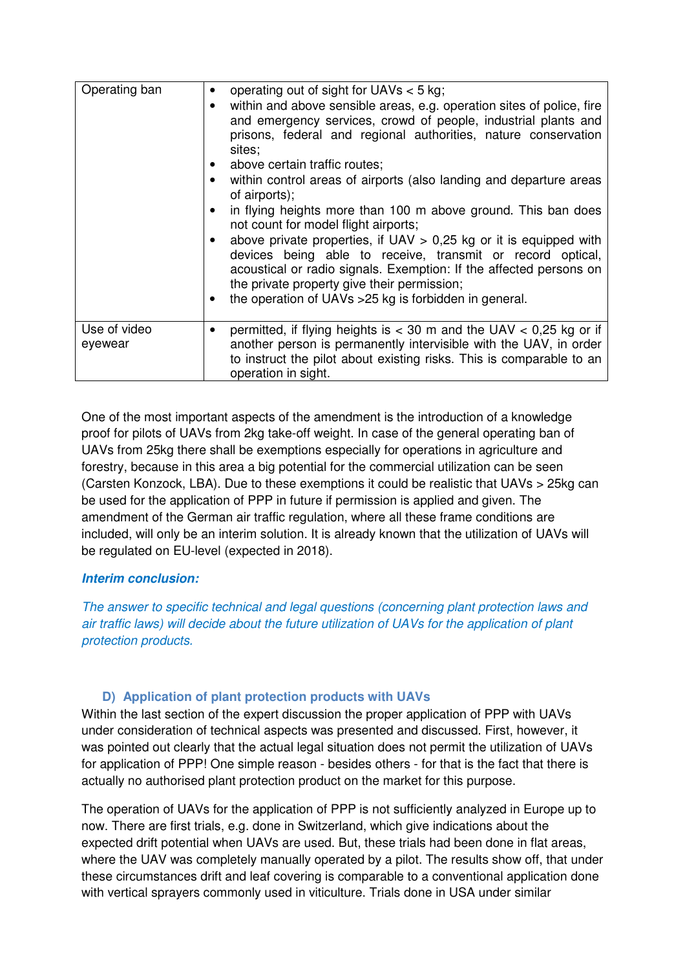| Operating ban           | operating out of sight for UAVs $<$ 5 kg;<br>٠<br>within and above sensible areas, e.g. operation sites of police, fire<br>and emergency services, crowd of people, industrial plants and<br>prisons, federal and regional authorities, nature conservation<br>sites:<br>• above certain traffic routes;<br>within control areas of airports (also landing and departure areas<br>of airports);<br>in flying heights more than 100 m above ground. This ban does<br>not count for model flight airports;<br>above private properties, if $UAV > 0.25$ kg or it is equipped with<br>devices being able to receive, transmit or record optical,<br>acoustical or radio signals. Exemption: If the affected persons on<br>the private property give their permission;<br>the operation of UAVs > 25 kg is forbidden in general.<br>$\bullet$ |
|-------------------------|-------------------------------------------------------------------------------------------------------------------------------------------------------------------------------------------------------------------------------------------------------------------------------------------------------------------------------------------------------------------------------------------------------------------------------------------------------------------------------------------------------------------------------------------------------------------------------------------------------------------------------------------------------------------------------------------------------------------------------------------------------------------------------------------------------------------------------------------|
| Use of video<br>eyewear | permitted, if flying heights is $<$ 30 m and the UAV $<$ 0.25 kg or if<br>٠<br>another person is permanently intervisible with the UAV, in order<br>to instruct the pilot about existing risks. This is comparable to an<br>operation in sight.                                                                                                                                                                                                                                                                                                                                                                                                                                                                                                                                                                                           |

One of the most important aspects of the amendment is the introduction of a knowledge proof for pilots of UAVs from 2kg take-off weight. In case of the general operating ban of UAVs from 25kg there shall be exemptions especially for operations in agriculture and forestry, because in this area a big potential for the commercial utilization can be seen (Carsten Konzock, LBA). Due to these exemptions it could be realistic that UAVs > 25kg can be used for the application of PPP in future if permission is applied and given. The amendment of the German air traffic regulation, where all these frame conditions are included, will only be an interim solution. It is already known that the utilization of UAVs will be regulated on EU-level (expected in 2018).

## **Interim conclusion:**

The answer to specific technical and legal questions (concerning plant protection laws and air traffic laws) will decide about the future utilization of UAVs for the application of plant protection products.

# **D) Application of plant protection products with UAVs**

Within the last section of the expert discussion the proper application of PPP with UAVs under consideration of technical aspects was presented and discussed. First, however, it was pointed out clearly that the actual legal situation does not permit the utilization of UAVs for application of PPP! One simple reason - besides others - for that is the fact that there is actually no authorised plant protection product on the market for this purpose.

The operation of UAVs for the application of PPP is not sufficiently analyzed in Europe up to now. There are first trials, e.g. done in Switzerland, which give indications about the expected drift potential when UAVs are used. But, these trials had been done in flat areas, where the UAV was completely manually operated by a pilot. The results show off, that under these circumstances drift and leaf covering is comparable to a conventional application done with vertical sprayers commonly used in viticulture. Trials done in USA under similar